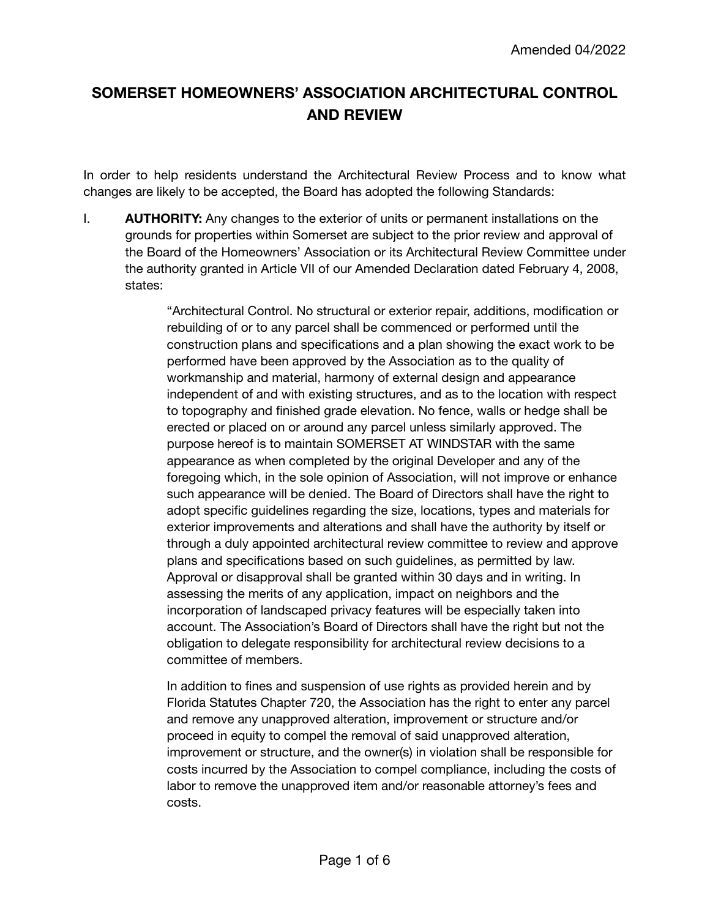# **SOMERSET HOMEOWNERS' ASSOCIATION ARCHITECTURAL CONTROL AND REVIEW**

In order to help residents understand the Architectural Review Process and to know what changes are likely to be accepted, the Board has adopted the following Standards:

I. **AUTHORITY:** Any changes to the exterior of units or permanent installations on the grounds for properties within Somerset are subject to the prior review and approval of the Board of the Homeowners' Association or its Architectural Review Committee under the authority granted in Article VII of our Amended Declaration dated February 4, 2008, states:

> "Architectural Control. No structural or exterior repair, additions, modification or rebuilding of or to any parcel shall be commenced or performed until the construction plans and specifications and a plan showing the exact work to be performed have been approved by the Association as to the quality of workmanship and material, harmony of external design and appearance independent of and with existing structures, and as to the location with respect to topography and finished grade elevation. No fence, walls or hedge shall be erected or placed on or around any parcel unless similarly approved. The purpose hereof is to maintain SOMERSET AT WINDSTAR with the same appearance as when completed by the original Developer and any of the foregoing which, in the sole opinion of Association, will not improve or enhance such appearance will be denied. The Board of Directors shall have the right to adopt specific guidelines regarding the size, locations, types and materials for exterior improvements and alterations and shall have the authority by itself or through a duly appointed architectural review committee to review and approve plans and specifications based on such guidelines, as permitted by law. Approval or disapproval shall be granted within 30 days and in writing. In assessing the merits of any application, impact on neighbors and the incorporation of landscaped privacy features will be especially taken into account. The Association's Board of Directors shall have the right but not the obligation to delegate responsibility for architectural review decisions to a committee of members.

> In addition to fines and suspension of use rights as provided herein and by Florida Statutes Chapter 720, the Association has the right to enter any parcel and remove any unapproved alteration, improvement or structure and/or proceed in equity to compel the removal of said unapproved alteration, improvement or structure, and the owner(s) in violation shall be responsible for costs incurred by the Association to compel compliance, including the costs of labor to remove the unapproved item and/or reasonable attorney's fees and costs.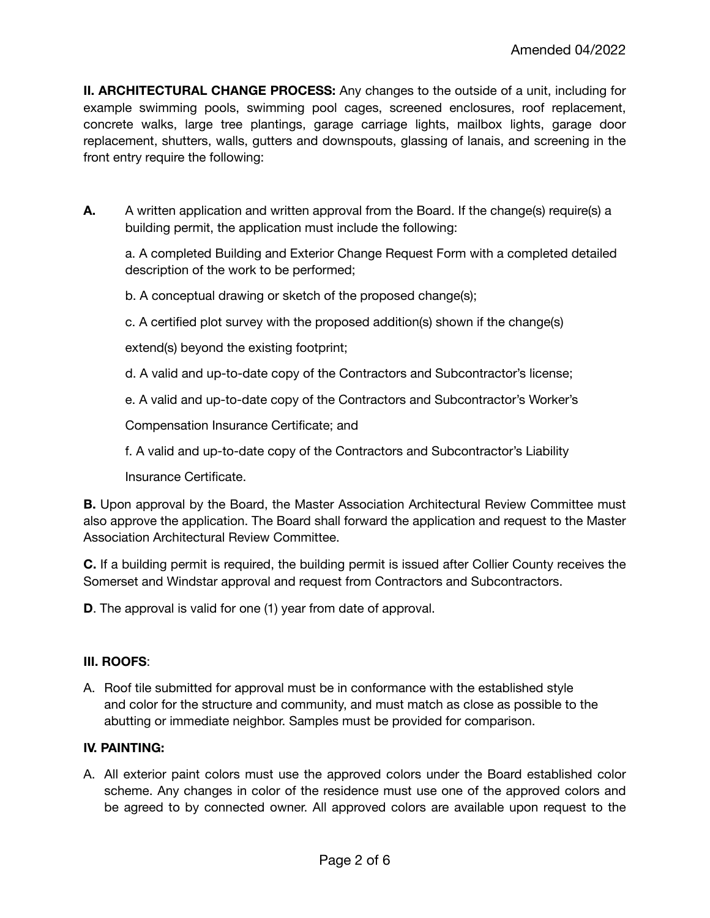**II. ARCHITECTURAL CHANGE PROCESS:** Any changes to the outside of a unit, including for example swimming pools, swimming pool cages, screened enclosures, roof replacement, concrete walks, large tree plantings, garage carriage lights, mailbox lights, garage door replacement, shutters, walls, gutters and downspouts, glassing of lanais, and screening in the front entry require the following:

**A.** A written application and written approval from the Board. If the change(s) require(s) a building permit, the application must include the following:

a. A completed Building and Exterior Change Request Form with a completed detailed description of the work to be performed;

b. A conceptual drawing or sketch of the proposed change(s);

c. A certified plot survey with the proposed addition(s) shown if the change(s)

extend(s) beyond the existing footprint;

- d. A valid and up-to-date copy of the Contractors and Subcontractor's license;
- e. A valid and up-to-date copy of the Contractors and Subcontractor's Worker's

Compensation Insurance Certificate; and

f. A valid and up-to-date copy of the Contractors and Subcontractor's Liability

Insurance Certificate.

**B.** Upon approval by the Board, the Master Association Architectural Review Committee must also approve the application. The Board shall forward the application and request to the Master Association Architectural Review Committee.

**C.** If a building permit is required, the building permit is issued after Collier County receives the Somerset and Windstar approval and request from Contractors and Subcontractors.

**D**. The approval is valid for one (1) year from date of approval.

#### **III. ROOFS**:

A. Roof tile submitted for approval must be in conformance with the established style and color for the structure and community, and must match as close as possible to the abutting or immediate neighbor. Samples must be provided for comparison.

#### **IV. PAINTING:**

A. All exterior paint colors must use the approved colors under the Board established color scheme. Any changes in color of the residence must use one of the approved colors and be agreed to by connected owner. All approved colors are available upon request to the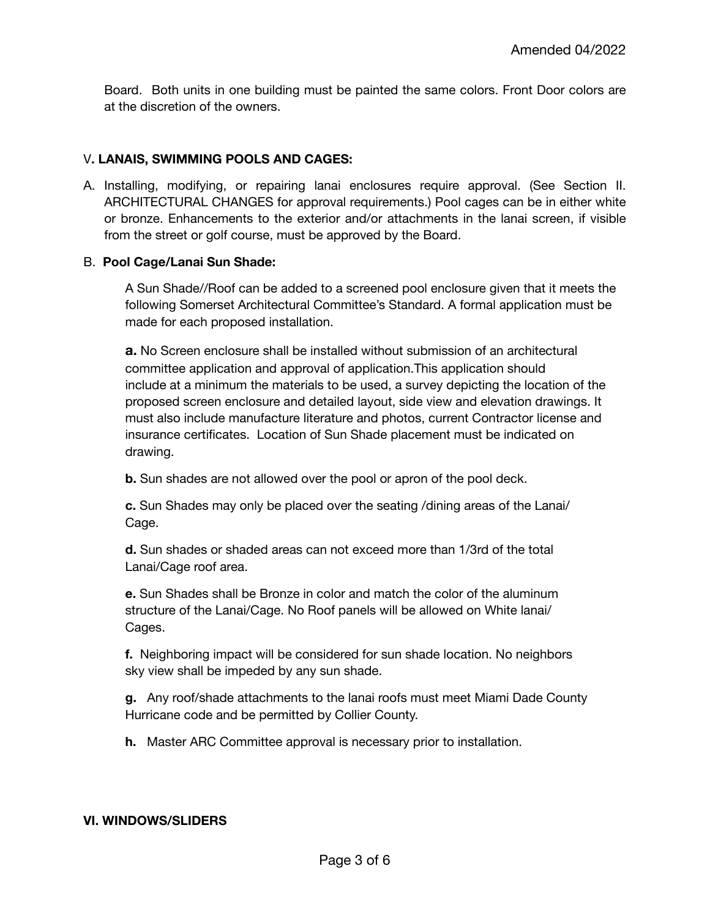Board. Both units in one building must be painted the same colors. Front Door colors are at the discretion of the owners.

# V**. LANAIS, SWIMMING POOLS AND CAGES:**

A. Installing, modifying, or repairing lanai enclosures require approval. (See Section II. ARCHITECTURAL CHANGES for approval requirements.) Pool cages can be in either white or bronze. Enhancements to the exterior and/or attachments in the lanai screen, if visible from the street or golf course, must be approved by the Board.

## B. **Pool Cage/Lanai Sun Shade:**

A Sun Shade//Roof can be added to a screened pool enclosure given that it meets the following Somerset Architectural Committee's Standard. A formal application must be made for each proposed installation.

**a.** No Screen enclosure shall be installed without submission of an architectural committee application and approval of application.This application should include at a minimum the materials to be used, a survey depicting the location of the proposed screen enclosure and detailed layout, side view and elevation drawings. It must also include manufacture literature and photos, current Contractor license and insurance certificates. Location of Sun Shade placement must be indicated on drawing.

**b.** Sun shades are not allowed over the pool or apron of the pool deck.

**c.** Sun Shades may only be placed over the seating /dining areas of the Lanai/ Cage.

**d.** Sun shades or shaded areas can not exceed more than 1/3rd of the total Lanai/Cage roof area.

**e.** Sun Shades shall be Bronze in color and match the color of the aluminum structure of the Lanai/Cage. No Roof panels will be allowed on White lanai/ Cages.

**f.** Neighboring impact will be considered for sun shade location. No neighbors sky view shall be impeded by any sun shade.

**g.** Any roof/shade attachments to the lanai roofs must meet Miami Dade County Hurricane code and be permitted by Collier County.

**h.** Master ARC Committee approval is necessary prior to installation.

#### **VI. WINDOWS/SLIDERS**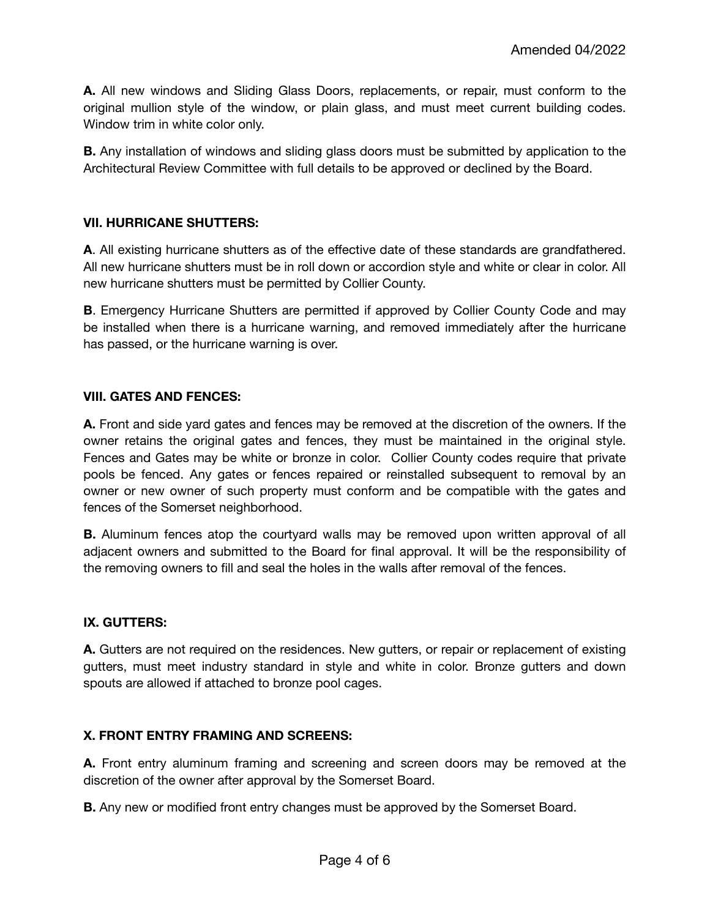**A.** All new windows and Sliding Glass Doors, replacements, or repair, must conform to the original mullion style of the window, or plain glass, and must meet current building codes. Window trim in white color only.

**B.** Any installation of windows and sliding glass doors must be submitted by application to the Architectural Review Committee with full details to be approved or declined by the Board.

## **VII. HURRICANE SHUTTERS:**

**A**. All existing hurricane shutters as of the effective date of these standards are grandfathered. All new hurricane shutters must be in roll down or accordion style and white or clear in color. All new hurricane shutters must be permitted by Collier County.

**B**. Emergency Hurricane Shutters are permitted if approved by Collier County Code and may be installed when there is a hurricane warning, and removed immediately after the hurricane has passed, or the hurricane warning is over.

#### **VIII. GATES AND FENCES:**

**A.** Front and side yard gates and fences may be removed at the discretion of the owners. If the owner retains the original gates and fences, they must be maintained in the original style. Fences and Gates may be white or bronze in color. Collier County codes require that private pools be fenced. Any gates or fences repaired or reinstalled subsequent to removal by an owner or new owner of such property must conform and be compatible with the gates and fences of the Somerset neighborhood.

**B.** Aluminum fences atop the courtyard walls may be removed upon written approval of all adjacent owners and submitted to the Board for final approval. It will be the responsibility of the removing owners to fill and seal the holes in the walls after removal of the fences.

# **IX. GUTTERS:**

A. Gutters are not required on the residences. New gutters, or repair or replacement of existing gutters, must meet industry standard in style and white in color. Bronze gutters and down spouts are allowed if attached to bronze pool cages.

#### **X. FRONT ENTRY FRAMING AND SCREENS:**

**A.** Front entry aluminum framing and screening and screen doors may be removed at the discretion of the owner after approval by the Somerset Board.

**B.** Any new or modified front entry changes must be approved by the Somerset Board.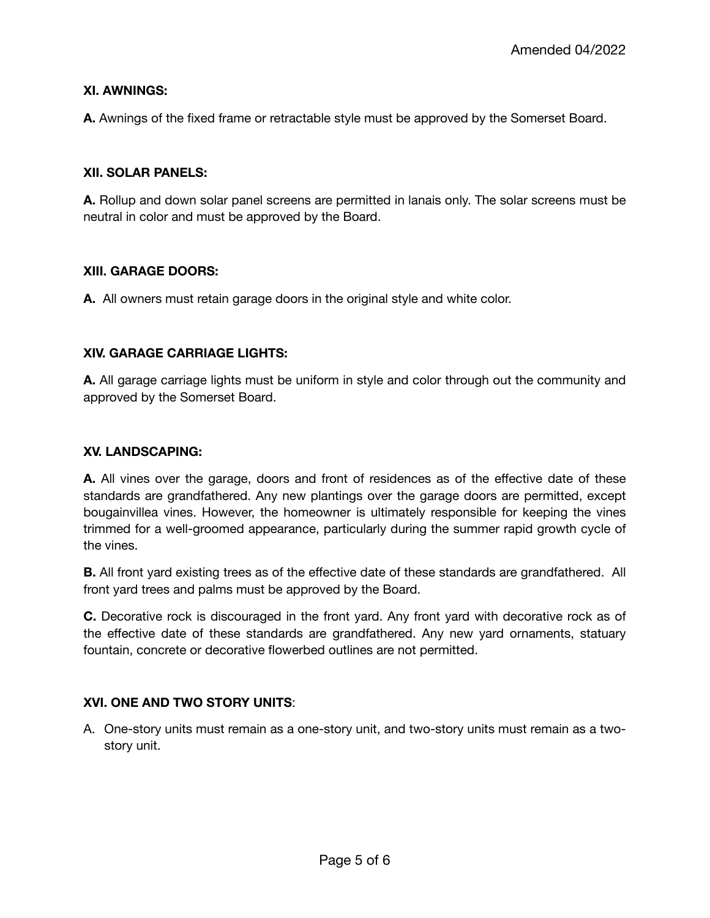## **XI. AWNINGS:**

**A.** Awnings of the fixed frame or retractable style must be approved by the Somerset Board.

## **XII. SOLAR PANELS:**

**A.** Rollup and down solar panel screens are permitted in lanais only. The solar screens must be neutral in color and must be approved by the Board.

#### **XIII. GARAGE DOORS:**

**A.** All owners must retain garage doors in the original style and white color.

#### **XIV. GARAGE CARRIAGE LIGHTS:**

**A.** All garage carriage lights must be uniform in style and color through out the community and approved by the Somerset Board.

#### **XV. LANDSCAPING:**

**A.** All vines over the garage, doors and front of residences as of the effective date of these standards are grandfathered. Any new plantings over the garage doors are permitted, except bougainvillea vines. However, the homeowner is ultimately responsible for keeping the vines trimmed for a well-groomed appearance, particularly during the summer rapid growth cycle of the vines.

**B.** All front yard existing trees as of the effective date of these standards are grandfathered. All front yard trees and palms must be approved by the Board.

**C.** Decorative rock is discouraged in the front yard. Any front yard with decorative rock as of the effective date of these standards are grandfathered. Any new yard ornaments, statuary fountain, concrete or decorative flowerbed outlines are not permitted.

# **XVI. ONE AND TWO STORY UNITS**:

A. One-story units must remain as a one-story unit, and two-story units must remain as a twostory unit.